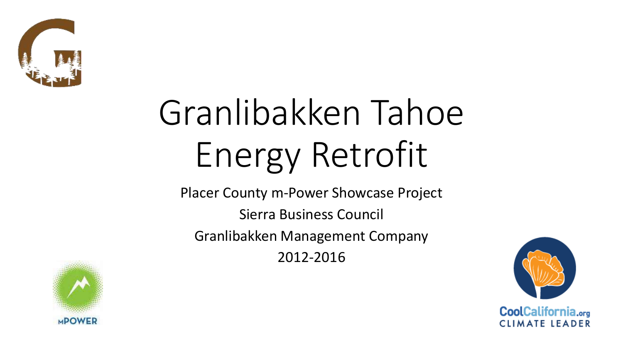

# Granlibakken Tahoe Energy Retrofit

Placer County m-Power Showcase Project

Sierra Business Council

Granlibakken Management Company

2012-2016



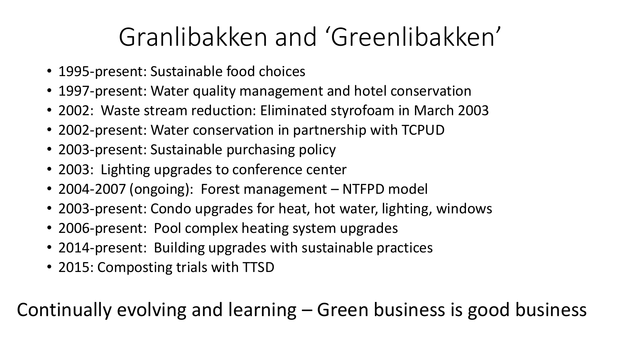# Granlibakken and 'Greenlibakken'

- 1995-present: Sustainable food choices
- 1997-present: Water quality management and hotel conservation
- 2002: Waste stream reduction: Eliminated styrofoam in March 2003
- 2002-present: Water conservation in partnership with TCPUD
- 2003-present: Sustainable purchasing policy
- 2003: Lighting upgrades to conference center
- 2004-2007 (ongoing): Forest management NTFPD model
- 2003-present: Condo upgrades for heat, hot water, lighting, windows
- 2006-present: Pool complex heating system upgrades
- 2014-present: Building upgrades with sustainable practices
- 2015: Composting trials with TTSD

Continually evolving and learning – Green business is good business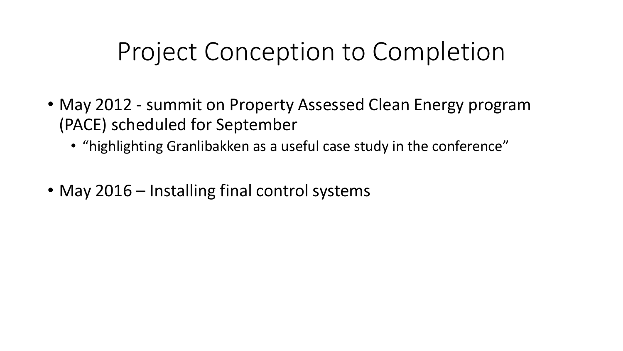#### Project Conception to Completion

- May 2012 summit on Property Assessed Clean Energy program (PACE) scheduled for September
	- "highlighting Granlibakken as a useful case study in the conference"
- May 2016 Installing final control systems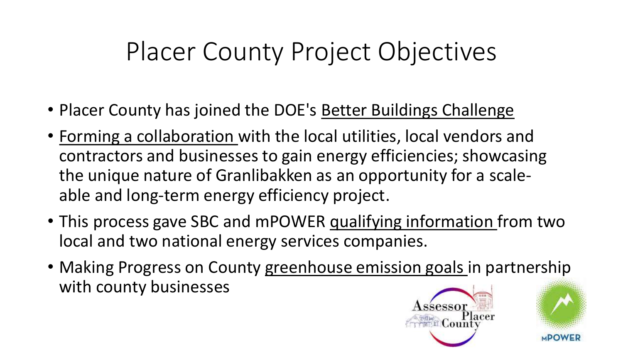# Placer County Project Objectives

- Placer County has joined the DOE's Better Buildings Challenge
- Forming a collaboration with the local utilities, local vendors and contractors and businesses to gain energy efficiencies; showcasing the unique nature of Granlibakken as an opportunity for a scaleable and long-term energy efficiency project.
- This process gave SBC and mPOWER qualifying information from two local and two national energy services companies.
- Making Progress on County greenhouse emission goals in partnership with county businesses

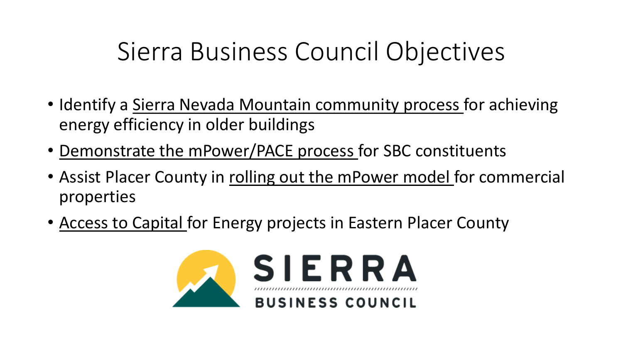# Sierra Business Council Objectives

- Identify a Sierra Nevada Mountain community process for achieving energy efficiency in older buildings
- Demonstrate the mPower/PACE process for SBC constituents
- Assist Placer County in rolling out the mPower model for commercial properties
- Access to Capital for Energy projects in Eastern Placer County

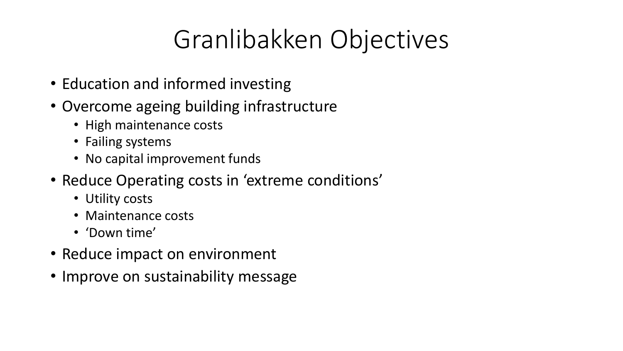# Granlibakken Objectives

- Education and informed investing
- Overcome ageing building infrastructure
	- High maintenance costs
	- Failing systems
	- No capital improvement funds
- Reduce Operating costs in 'extreme conditions'
	- Utility costs
	- Maintenance costs
	- 'Down time'
- Reduce impact on environment
- Improve on sustainability message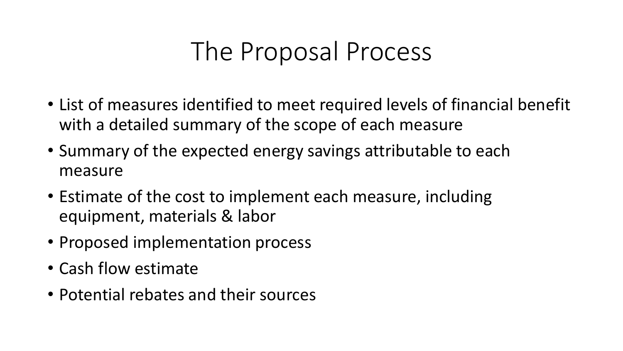# The Proposal Process

- List of measures identified to meet required levels of financial benefit with a detailed summary of the scope of each measure
- Summary of the expected energy savings attributable to each measure
- Estimate of the cost to implement each measure, including equipment, materials & labor
- Proposed implementation process
- Cash flow estimate
- Potential rebates and their sources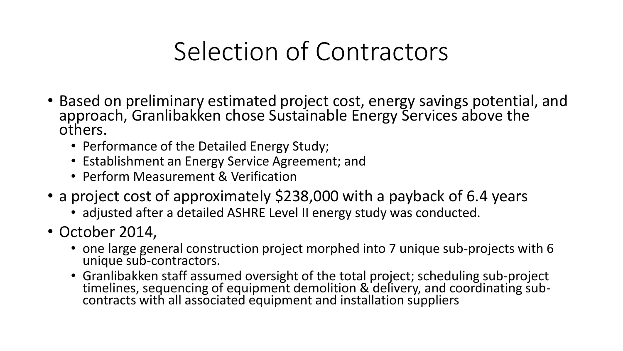# Selection of Contractors

- Based on preliminary estimated project cost, energy savings potential, and approach, Granlibakken chose Sustainable Energy Services above the others.
	- Performance of the Detailed Energy Study;
	- Establishment an Energy Service Agreement; and
	- Perform Measurement & Verification
- a project cost of approximately \$238,000 with a payback of 6.4 years
	- adjusted after a detailed ASHRE Level II energy study was conducted.
- October 2014,
	- one large general construction project morphed into 7 unique sub-projects with 6 unique sub-contractors.
	- Granlibakken staff assumed oversight of the total project; scheduling sub-project timelines, sequencing of equipment demolition & delivery, and coordinating subcontracts with all associated equipment and installation suppliers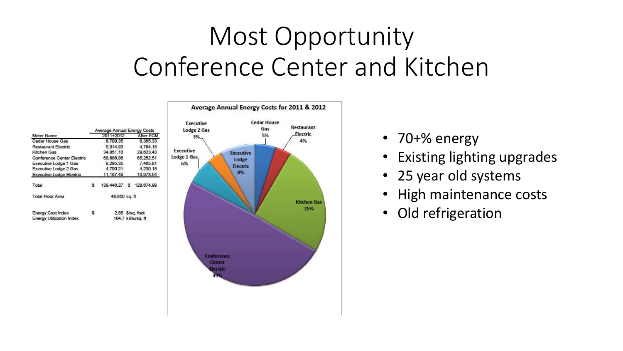# Most Opportunity Conference Center and Kitchen





- 70+% energy
- Existing lighting upgrades
- 25 year old systems
- High maintenance costs
- Old refrigeration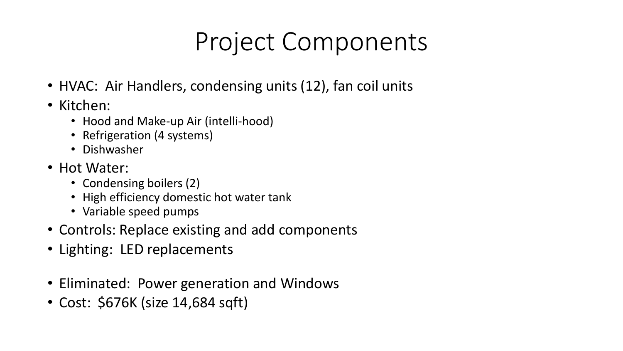# Project Components

- HVAC: Air Handlers, condensing units (12), fan coil units
- Kitchen:
	- Hood and Make-up Air (intelli-hood)
	- Refrigeration (4 systems)
	- Dishwasher
- Hot Water:
	- Condensing boilers (2)
	- High efficiency domestic hot water tank
	- Variable speed pumps
- Controls: Replace existing and add components
- Lighting: LED replacements
- Eliminated: Power generation and Windows
- Cost: \$676K (size 14,684 sqft)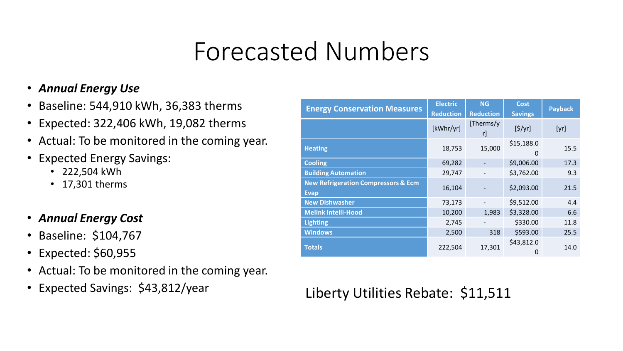### Forecasted Numbers

#### • *Annual Energy Use*

- Baseline: 544,910 kWh, 36,383 therms
- Expected: 322,406 kWh, 19,082 therms
- Actual: To be monitored in the coming year.
- Expected Energy Savings:
	- 222,504 kWh
	- 17,301 therms
- *Annual Energy Cost*
- Baseline: \$104,767
- Expected: \$60,955
- Actual: To be monitored in the coming year.
- Expected Savings: \$43,812/year

| <b>Energy Conservation Measures</b>                           | <b>Electric</b><br><b>Reduction</b> | <b>NG</b><br><b>Reduction</b> | <b>Cost</b><br><b>Savings</b> | <b>Payback</b> |
|---------------------------------------------------------------|-------------------------------------|-------------------------------|-------------------------------|----------------|
|                                                               | [kWhr/yr]                           | [Therms/y<br><u>r</u>         | [5/yr]                        | [yr]           |
| <b>Heating</b>                                                | 18,753                              | 15,000                        | \$15,188.0<br>$\Omega$        | 15.5           |
| <b>Cooling</b>                                                | 69,282                              |                               | \$9,006.00                    | 17.3           |
| <b>Building Automation</b>                                    | 29,747                              |                               | \$3,762.00                    | 9.3            |
| <b>New Refrigeration Compressors &amp; Ecm</b><br><b>Evap</b> | 16,104                              |                               | \$2,093.00                    | 21.5           |
| <b>New Dishwasher</b>                                         | 73,173                              |                               | \$9,512.00                    | 4.4            |
| <b>Melink Intelli-Hood</b>                                    | 10,200                              | 1,983                         | \$3,328.00                    | 6.6            |
| <b>Lighting</b>                                               | 2,745                               |                               | \$330.00                      | 11.8           |
| <b>Windows</b>                                                | 2,500                               | 318                           | \$593.00                      | 25.5           |
| <b>Totals</b>                                                 | 222,504                             | 17,301                        | \$43,812.0<br>Ő               | 14.0           |

Liberty Utilities Rebate: \$11,511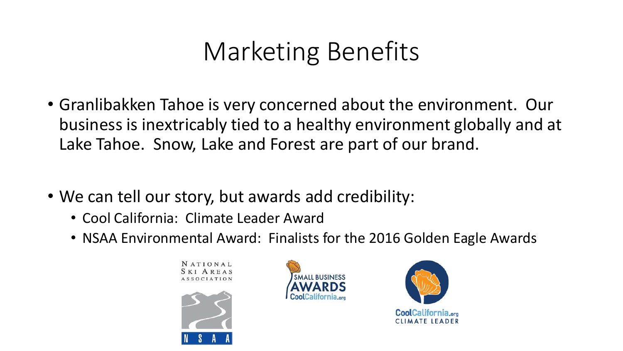# Marketing Benefits

- Granlibakken Tahoe is very concerned about the environment. Our business is inextricably tied to a healthy environment globally and at Lake Tahoe. Snow, Lake and Forest are part of our brand.
- We can tell our story, but awards add credibility:
	- Cool California: Climate Leader Award
	- NSAA Environmental Award: Finalists for the 2016 Golden Eagle Awards

**NATIONAL SKI AREAS ASSOCIATION** 





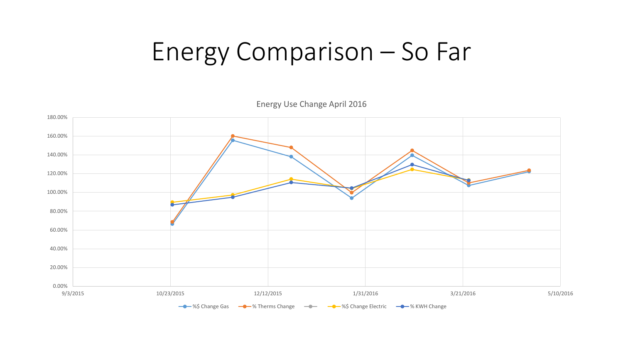#### Energy Comparison – So Far